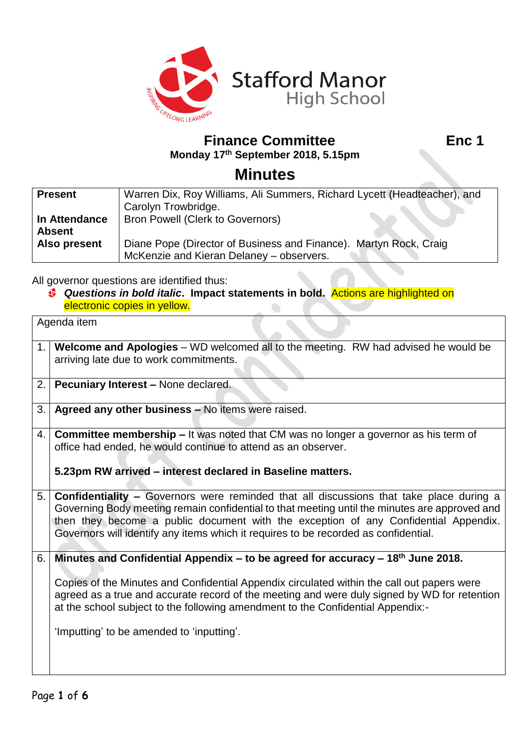

**Finance Committee Enc 1 Monday 17th September 2018, 5.15pm**

## **Minutes**

| <b>Present</b> | Warren Dix, Roy Williams, Ali Summers, Richard Lycett (Headteacher), and |  |
|----------------|--------------------------------------------------------------------------|--|
|                | Carolyn Trowbridge.                                                      |  |
| In Attendance  | <b>Bron Powell (Clerk to Governors)</b>                                  |  |
| <b>Absent</b>  |                                                                          |  |
| Also present   | Diane Pope (Director of Business and Finance). Martyn Rock, Craig        |  |
|                | McKenzie and Kieran Delaney – observers.                                 |  |

All governor questions are identified thus:

*Questions in bold italic***. Impact statements in bold.** Actions are highlighted on electronic copies in yellow.  $\bullet$ 

|    | Agenda item                                                                                                                                                                                                                                                                                                                                                                                                     |  |  |
|----|-----------------------------------------------------------------------------------------------------------------------------------------------------------------------------------------------------------------------------------------------------------------------------------------------------------------------------------------------------------------------------------------------------------------|--|--|
|    | 1.   Welcome and Apologies – WD welcomed all to the meeting. RW had advised he would be<br>arriving late due to work commitments.                                                                                                                                                                                                                                                                               |  |  |
| 2. | Pecuniary Interest - None declared.                                                                                                                                                                                                                                                                                                                                                                             |  |  |
| 3. | Agreed any other business - No items were raised.                                                                                                                                                                                                                                                                                                                                                               |  |  |
|    | 4. Committee membership – It was noted that CM was no longer a governor as his term of<br>office had ended, he would continue to attend as an observer.<br>5.23pm RW arrived - interest declared in Baseline matters.                                                                                                                                                                                           |  |  |
| 5. | <b>Confidentiality - Governors were reminded that all discussions that take place during a</b><br>Governing Body meeting remain confidential to that meeting until the minutes are approved and<br>then they become a public document with the exception of any Confidential Appendix.<br>Governors will identify any items which it requires to be recorded as confidential.                                   |  |  |
| 6. | Minutes and Confidential Appendix – to be agreed for accuracy – $18th$ June 2018.<br>Copies of the Minutes and Confidential Appendix circulated within the call out papers were<br>agreed as a true and accurate record of the meeting and were duly signed by WD for retention<br>at the school subject to the following amendment to the Confidential Appendix:-<br>'Imputting' to be amended to 'inputting'. |  |  |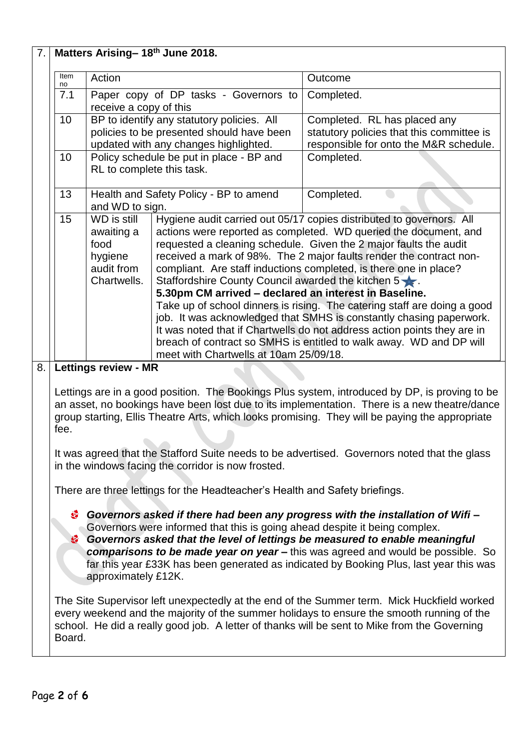| 7. | Matters Arising- 18th June 2018.                                                                                                                                                                                                                                                                                                                                                                                                                              |                                                           |                                                                                    |                                                                                                                                                 |  |
|----|---------------------------------------------------------------------------------------------------------------------------------------------------------------------------------------------------------------------------------------------------------------------------------------------------------------------------------------------------------------------------------------------------------------------------------------------------------------|-----------------------------------------------------------|------------------------------------------------------------------------------------|-------------------------------------------------------------------------------------------------------------------------------------------------|--|
|    | Item                                                                                                                                                                                                                                                                                                                                                                                                                                                          | Action                                                    |                                                                                    | Outcome                                                                                                                                         |  |
|    | no<br>7.1                                                                                                                                                                                                                                                                                                                                                                                                                                                     |                                                           | Paper copy of DP tasks - Governors to                                              | Completed.                                                                                                                                      |  |
|    |                                                                                                                                                                                                                                                                                                                                                                                                                                                               | receive a copy of this                                    |                                                                                    |                                                                                                                                                 |  |
|    | 10                                                                                                                                                                                                                                                                                                                                                                                                                                                            |                                                           | BP to identify any statutory policies. All                                         | Completed. RL has placed any                                                                                                                    |  |
|    |                                                                                                                                                                                                                                                                                                                                                                                                                                                               |                                                           | policies to be presented should have been<br>updated with any changes highlighted. | statutory policies that this committee is<br>responsible for onto the M&R schedule.                                                             |  |
|    | 10                                                                                                                                                                                                                                                                                                                                                                                                                                                            | Policy schedule be put in place - BP and                  |                                                                                    | Completed.                                                                                                                                      |  |
|    |                                                                                                                                                                                                                                                                                                                                                                                                                                                               | RL to complete this task.                                 |                                                                                    |                                                                                                                                                 |  |
|    | 13                                                                                                                                                                                                                                                                                                                                                                                                                                                            | Health and Safety Policy - BP to amend<br>and WD to sign. |                                                                                    | Completed.                                                                                                                                      |  |
|    | 15                                                                                                                                                                                                                                                                                                                                                                                                                                                            | WD is still                                               |                                                                                    | Hygiene audit carried out 05/17 copies distributed to governors. All                                                                            |  |
|    |                                                                                                                                                                                                                                                                                                                                                                                                                                                               | awaiting a<br>food                                        |                                                                                    | actions were reported as completed. WD queried the document, and                                                                                |  |
|    |                                                                                                                                                                                                                                                                                                                                                                                                                                                               | hygiene                                                   |                                                                                    | requested a cleaning schedule. Given the 2 major faults the audit<br>received a mark of 98%. The 2 major faults render the contract non-        |  |
|    |                                                                                                                                                                                                                                                                                                                                                                                                                                                               | audit from                                                |                                                                                    | compliant. Are staff inductions completed, is there one in place?                                                                               |  |
|    |                                                                                                                                                                                                                                                                                                                                                                                                                                                               | Chartwells.                                               | Staffordshire County Council awarded the kitchen $5 \times 1$ .                    |                                                                                                                                                 |  |
|    |                                                                                                                                                                                                                                                                                                                                                                                                                                                               |                                                           | 5.30pm CM arrived - declared an interest in Baseline.                              |                                                                                                                                                 |  |
|    |                                                                                                                                                                                                                                                                                                                                                                                                                                                               |                                                           |                                                                                    | Take up of school dinners is rising. The catering staff are doing a good<br>job. It was acknowledged that SMHS is constantly chasing paperwork. |  |
|    |                                                                                                                                                                                                                                                                                                                                                                                                                                                               |                                                           |                                                                                    | It was noted that if Chartwells do not address action points they are in                                                                        |  |
|    |                                                                                                                                                                                                                                                                                                                                                                                                                                                               |                                                           |                                                                                    | breach of contract so SMHS is entitled to walk away. WD and DP will                                                                             |  |
|    |                                                                                                                                                                                                                                                                                                                                                                                                                                                               |                                                           | meet with Chartwells at 10am 25/09/18.                                             |                                                                                                                                                 |  |
| 8. | <b>Lettings review - MR</b>                                                                                                                                                                                                                                                                                                                                                                                                                                   |                                                           |                                                                                    |                                                                                                                                                 |  |
|    | Lettings are in a good position. The Bookings Plus system, introduced by DP, is proving to be<br>an asset, no bookings have been lost due to its implementation. There is a new theatre/dance<br>group starting, Ellis Theatre Arts, which looks promising. They will be paying the appropriate<br>fee.<br>It was agreed that the Stafford Suite needs to be advertised. Governors noted that the glass<br>in the windows facing the corridor is now frosted. |                                                           |                                                                                    |                                                                                                                                                 |  |
|    |                                                                                                                                                                                                                                                                                                                                                                                                                                                               |                                                           |                                                                                    |                                                                                                                                                 |  |
|    |                                                                                                                                                                                                                                                                                                                                                                                                                                                               |                                                           | There are three lettings for the Headteacher's Health and Safety briefings.        |                                                                                                                                                 |  |
|    | Governors asked if there had been any progress with the installation of Wifi -<br>Ø.<br>Governors were informed that this is going ahead despite it being complex.<br>Governors asked that the level of lettings be measured to enable meaningful<br>Ø.<br>comparisons to be made year on year - this was agreed and would be possible. So<br>far this year £33K has been generated as indicated by Booking Plus, last year this was<br>approximately £12K.   |                                                           |                                                                                    |                                                                                                                                                 |  |
|    | The Site Supervisor left unexpectedly at the end of the Summer term. Mick Huckfield worked<br>every weekend and the majority of the summer holidays to ensure the smooth running of the<br>school. He did a really good job. A letter of thanks will be sent to Mike from the Governing<br>Board.                                                                                                                                                             |                                                           |                                                                                    |                                                                                                                                                 |  |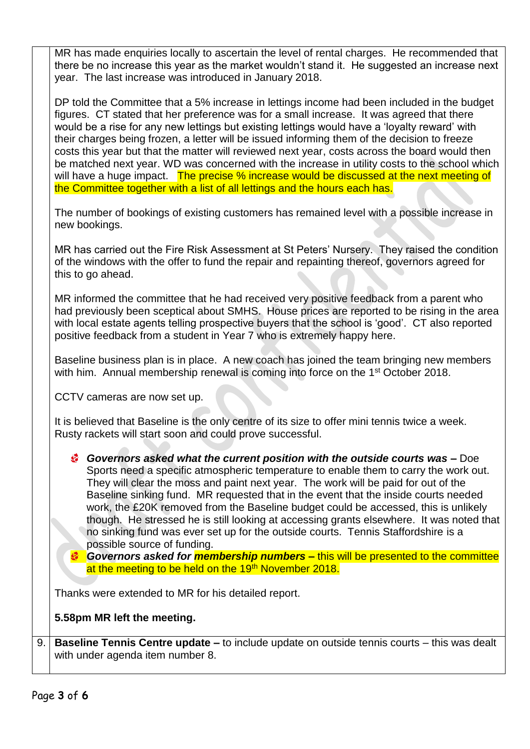MR has made enquiries locally to ascertain the level of rental charges. He recommended that there be no increase this year as the market wouldn't stand it. He suggested an increase next year. The last increase was introduced in January 2018.

DP told the Committee that a 5% increase in lettings income had been included in the budget figures. CT stated that her preference was for a small increase. It was agreed that there would be a rise for any new lettings but existing lettings would have a 'loyalty reward' with their charges being frozen, a letter will be issued informing them of the decision to freeze costs this year but that the matter will reviewed next year, costs across the board would then be matched next year. WD was concerned with the increase in utility costs to the school which will have a huge impact. The precise % increase would be discussed at the next meeting of the Committee together with a list of all lettings and the hours each has.

The number of bookings of existing customers has remained level with a possible increase in new bookings.

MR has carried out the Fire Risk Assessment at St Peters' Nursery. They raised the condition of the windows with the offer to fund the repair and repainting thereof, governors agreed for this to go ahead.

MR informed the committee that he had received very positive feedback from a parent who had previously been sceptical about SMHS. House prices are reported to be rising in the area with local estate agents telling prospective buyers that the school is 'good'. CT also reported positive feedback from a student in Year 7 who is extremely happy here.

Baseline business plan is in place. A new coach has joined the team bringing new members with him. Annual membership renewal is coming into force on the 1<sup>st</sup> October 2018.

CCTV cameras are now set up.

It is believed that Baseline is the only centre of its size to offer mini tennis twice a week. Rusty rackets will start soon and could prove successful.

*Governors asked what the current position with the outside courts was –* Doe Sports need a specific atmospheric temperature to enable them to carry the work out. They will clear the moss and paint next year. The work will be paid for out of the Baseline sinking fund. MR requested that in the event that the inside courts needed work, the £20K removed from the Baseline budget could be accessed, this is unlikely though. He stressed he is still looking at accessing grants elsewhere. It was noted that no sinking fund was ever set up for the outside courts. Tennis Staffordshire is a possible source of funding.

**Governors asked for** *membership numbers* – this will be presented to the committee at the meeting to be held on the 19<sup>th</sup> November 2018.

Thanks were extended to MR for his detailed report.

**5.58pm MR left the meeting.**

9. **Baseline Tennis Centre update –** to include update on outside tennis courts – this was dealt with under agenda item number 8.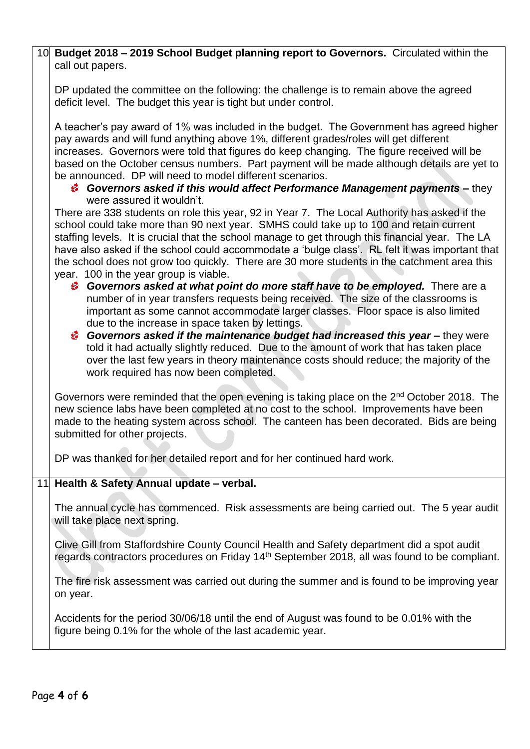| 10 Budget 2018 - 2019 School Budget planning report to Governors. Circulated within the<br>call out papers.                                                                                                                                                                                                                                                                                                                                                                                                                                                                                                                                                                                                                                                                                                                                                                                                                                                                                                                                                                                                                                                                                                                                                                                                                                                                                                                                                                                                                                                                                       |
|---------------------------------------------------------------------------------------------------------------------------------------------------------------------------------------------------------------------------------------------------------------------------------------------------------------------------------------------------------------------------------------------------------------------------------------------------------------------------------------------------------------------------------------------------------------------------------------------------------------------------------------------------------------------------------------------------------------------------------------------------------------------------------------------------------------------------------------------------------------------------------------------------------------------------------------------------------------------------------------------------------------------------------------------------------------------------------------------------------------------------------------------------------------------------------------------------------------------------------------------------------------------------------------------------------------------------------------------------------------------------------------------------------------------------------------------------------------------------------------------------------------------------------------------------------------------------------------------------|
| DP updated the committee on the following: the challenge is to remain above the agreed<br>deficit level. The budget this year is tight but under control.                                                                                                                                                                                                                                                                                                                                                                                                                                                                                                                                                                                                                                                                                                                                                                                                                                                                                                                                                                                                                                                                                                                                                                                                                                                                                                                                                                                                                                         |
| A teacher's pay award of 1% was included in the budget. The Government has agreed higher<br>pay awards and will fund anything above 1%, different grades/roles will get different<br>increases. Governors were told that figures do keep changing. The figure received will be<br>based on the October census numbers. Part payment will be made although details are yet to<br>be announced. DP will need to model different scenarios.<br>Governors asked if this would affect Performance Management payments – they<br>were assured it wouldn't.<br>There are 338 students on role this year, 92 in Year 7. The Local Authority has asked if the<br>school could take more than 90 next year. SMHS could take up to 100 and retain current<br>staffing levels. It is crucial that the school manage to get through this financial year. The LA<br>have also asked if the school could accommodate a 'bulge class'. RL felt it was important that<br>the school does not grow too quickly. There are 30 more students in the catchment area this<br>year. 100 in the year group is viable.<br><sup>3</sup> Governors asked at what point do more staff have to be employed. There are a<br>number of in year transfers requests being received. The size of the classrooms is<br>important as some cannot accommodate larger classes. Floor space is also limited<br>due to the increase in space taken by lettings.<br>Governors asked if the maintenance budget had increased this year - they were<br>told it had actually slightly reduced. Due to the amount of work that has taken place |
| over the last few years in theory maintenance costs should reduce; the majority of the<br>work required has now been completed.                                                                                                                                                                                                                                                                                                                                                                                                                                                                                                                                                                                                                                                                                                                                                                                                                                                                                                                                                                                                                                                                                                                                                                                                                                                                                                                                                                                                                                                                   |
| Governors were reminded that the open evening is taking place on the 2 <sup>nd</sup> October 2018. The<br>new science labs have been completed at no cost to the school. Improvements have been<br>made to the heating system across school. The canteen has been decorated. Bids are being<br>submitted for other projects.                                                                                                                                                                                                                                                                                                                                                                                                                                                                                                                                                                                                                                                                                                                                                                                                                                                                                                                                                                                                                                                                                                                                                                                                                                                                      |
| DP was thanked for her detailed report and for her continued hard work.                                                                                                                                                                                                                                                                                                                                                                                                                                                                                                                                                                                                                                                                                                                                                                                                                                                                                                                                                                                                                                                                                                                                                                                                                                                                                                                                                                                                                                                                                                                           |
| 11 Health & Safety Annual update - verbal.                                                                                                                                                                                                                                                                                                                                                                                                                                                                                                                                                                                                                                                                                                                                                                                                                                                                                                                                                                                                                                                                                                                                                                                                                                                                                                                                                                                                                                                                                                                                                        |
| The annual cycle has commenced. Risk assessments are being carried out. The 5 year audit<br>will take place next spring.                                                                                                                                                                                                                                                                                                                                                                                                                                                                                                                                                                                                                                                                                                                                                                                                                                                                                                                                                                                                                                                                                                                                                                                                                                                                                                                                                                                                                                                                          |
| Clive Gill from Staffordshire County Council Health and Safety department did a spot audit<br>regards contractors procedures on Friday 14 <sup>th</sup> September 2018, all was found to be compliant.                                                                                                                                                                                                                                                                                                                                                                                                                                                                                                                                                                                                                                                                                                                                                                                                                                                                                                                                                                                                                                                                                                                                                                                                                                                                                                                                                                                            |
| The fire risk assessment was carried out during the summer and is found to be improving year<br>on year.                                                                                                                                                                                                                                                                                                                                                                                                                                                                                                                                                                                                                                                                                                                                                                                                                                                                                                                                                                                                                                                                                                                                                                                                                                                                                                                                                                                                                                                                                          |
| Accidents for the period 30/06/18 until the end of August was found to be 0.01% with the<br>figure being 0.1% for the whole of the last academic year.                                                                                                                                                                                                                                                                                                                                                                                                                                                                                                                                                                                                                                                                                                                                                                                                                                                                                                                                                                                                                                                                                                                                                                                                                                                                                                                                                                                                                                            |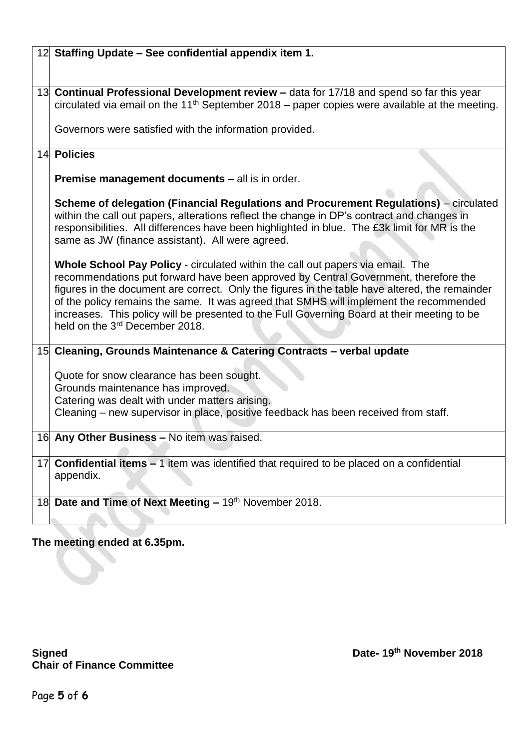|    | 12 Staffing Update - See confidential appendix item 1.                                                                                                                                |  |  |
|----|---------------------------------------------------------------------------------------------------------------------------------------------------------------------------------------|--|--|
|    |                                                                                                                                                                                       |  |  |
|    |                                                                                                                                                                                       |  |  |
|    | 13 Continual Professional Development review - data for 17/18 and spend so far this year                                                                                              |  |  |
|    | circulated via email on the 11 <sup>th</sup> September 2018 – paper copies were available at the meeting.                                                                             |  |  |
|    | Governors were satisfied with the information provided.                                                                                                                               |  |  |
|    |                                                                                                                                                                                       |  |  |
|    | 14 Policies                                                                                                                                                                           |  |  |
|    |                                                                                                                                                                                       |  |  |
|    | <b>Premise management documents – all is in order.</b>                                                                                                                                |  |  |
|    | Scheme of delegation (Financial Regulations and Procurement Regulations) – circulated                                                                                                 |  |  |
|    | within the call out papers, alterations reflect the change in DP's contract and changes in                                                                                            |  |  |
|    | responsibilities. All differences have been highlighted in blue. The £3k limit for MR is the                                                                                          |  |  |
|    | same as JW (finance assistant). All were agreed.                                                                                                                                      |  |  |
|    |                                                                                                                                                                                       |  |  |
|    | Whole School Pay Policy - circulated within the call out papers via email. The                                                                                                        |  |  |
|    | recommendations put forward have been approved by Central Government, therefore the<br>figures in the document are correct. Only the figures in the table have altered, the remainder |  |  |
|    | of the policy remains the same. It was agreed that SMHS will implement the recommended                                                                                                |  |  |
|    | increases. This policy will be presented to the Full Governing Board at their meeting to be                                                                                           |  |  |
|    | held on the 3 <sup>rd</sup> December 2018.                                                                                                                                            |  |  |
|    |                                                                                                                                                                                       |  |  |
|    | 15 Cleaning, Grounds Maintenance & Catering Contracts - verbal update                                                                                                                 |  |  |
|    | Quote for snow clearance has been sought.                                                                                                                                             |  |  |
|    | Grounds maintenance has improved.                                                                                                                                                     |  |  |
|    | Catering was dealt with under matters arising.                                                                                                                                        |  |  |
|    | Cleaning – new supervisor in place, positive feedback has been received from staff.                                                                                                   |  |  |
|    |                                                                                                                                                                                       |  |  |
|    | 16 Any Other Business - No item was raised.                                                                                                                                           |  |  |
| 17 |                                                                                                                                                                                       |  |  |
|    | <b>Confidential items - 1 item was identified that required to be placed on a confidential</b><br>appendix.                                                                           |  |  |
|    |                                                                                                                                                                                       |  |  |
|    | 18 Date and Time of Next Meeting - 19th November 2018.                                                                                                                                |  |  |
|    |                                                                                                                                                                                       |  |  |
|    |                                                                                                                                                                                       |  |  |

## **The meeting ended at 6.35pm.**